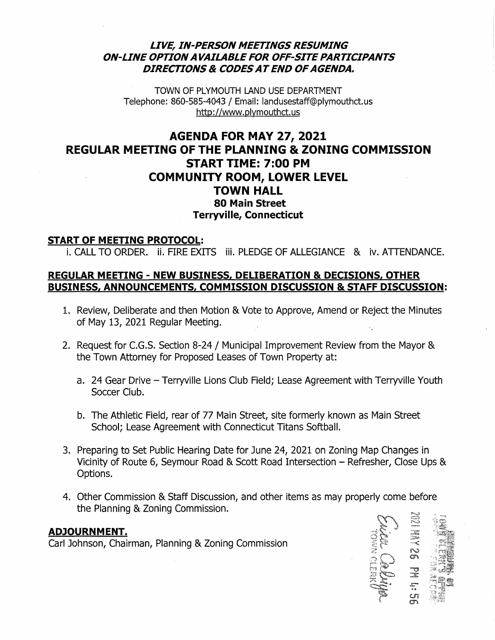## *LIVE, IN-PERSON MEETINGS RESUMING ON-LINE OPTION AVAILABLE FOR OFF-SITE PARTICIPANTS DIRECTIONS* & *CODESATEND OF AGENDA.*

TOWN OF PLYMOUTH LAND USE DEPARTMENT Telephone: 860-585-4043 / Email: landusestaff@plymouthct.us http://www.plymouthct.us

# AGENDA FOR MAY 27, 2021 REGULAR MEETING OF THE PLANNING & ZONING COMMISSION START TIME: 7:00 PM COMMUNITY ROOM, LOWER LEVEL TOWN HALL 80 Main Street Terryville, Connecticut

### START OF MEETING PROTOCOL:

i. CALL TO ORDER. ii. FIRE EXITS iii. PLEDGE OF ALLEGIANCE & iv. ATTENDANCE.

## REGULAR MEETING - NEW BUSINESS, DELIBERATION & DECISIONS, OTHER BUSINESS, ANNOUNCEMENTS, COMMISSION DISCUSSION & STAFF DISCUSSION:

- 1. Review, Deliberate and then Motion & Vote to Approve, Amend or Reject the Minutes of May 13, 2021 Regular Meeting.
- 2. Request for C.G.S. Section 8-24 / Municipal Improvement Review from the Mayor & the Town Attorney for Proposed Leases of Town Property at:
	- a. 24 Gear Drive Terryville Lions Club Field; Lease Agreement with Terryville Youth Soccer Club.
	- b. The Athletic Field, rear of 77 Main Street, site formerly known as Main Street School; Lease Agreement with Connecticut Titans Softball.
- 3. Preparing to Set Public Hearing Date for June 24, 2021 on Zoning Map Changes in Vicinity of Route 6, Seymour Road & Scott Road Intersection - Refresher, Close Ups & Options.
- 4. Other Commission & Staff Discussion, and other items as may properly come before the Planning & Zoning Commission.

#### ADJOURNMENT.

Carl Johnson, Chairman, Planning & Zoning Commission